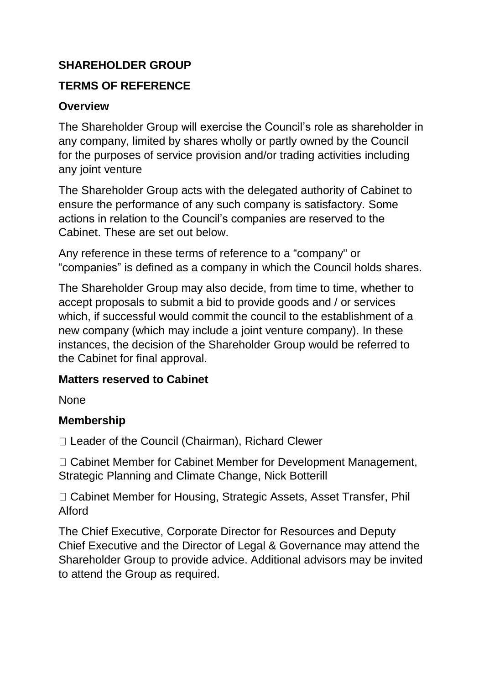## **SHAREHOLDER GROUP**

### **TERMS OF REFERENCE**

#### **Overview**

The Shareholder Group will exercise the Council's role as shareholder in any company, limited by shares wholly or partly owned by the Council for the purposes of service provision and/or trading activities including any joint venture

The Shareholder Group acts with the delegated authority of Cabinet to ensure the performance of any such company is satisfactory. Some actions in relation to the Council's companies are reserved to the Cabinet. These are set out below.

Any reference in these terms of reference to a "company" or "companies" is defined as a company in which the Council holds shares.

The Shareholder Group may also decide, from time to time, whether to accept proposals to submit a bid to provide goods and / or services which, if successful would commit the council to the establishment of a new company (which may include a joint venture company). In these instances, the decision of the Shareholder Group would be referred to the Cabinet for final approval.

#### **Matters reserved to Cabinet**

None

### **Membership**

□ Leader of the Council (Chairman), Richard Clewer

□ Cabinet Member for Cabinet Member for Development Management, Strategic Planning and Climate Change, Nick Botterill

□ Cabinet Member for Housing, Strategic Assets, Asset Transfer, Phil Alford

The Chief Executive, Corporate Director for Resources and Deputy Chief Executive and the Director of Legal & Governance may attend the Shareholder Group to provide advice. Additional advisors may be invited to attend the Group as required.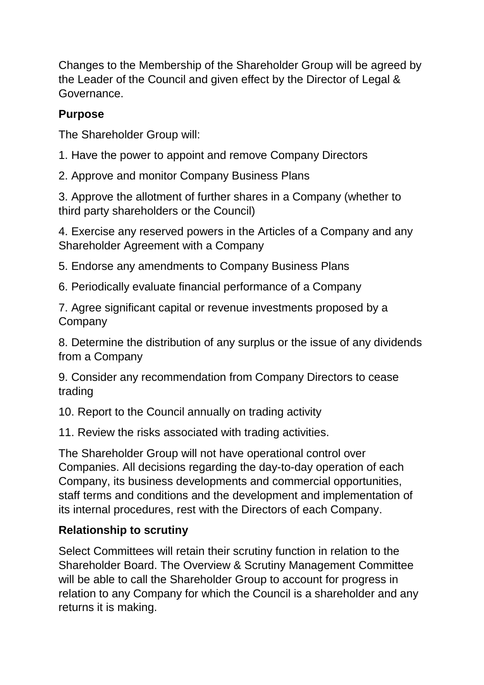Changes to the Membership of the Shareholder Group will be agreed by the Leader of the Council and given effect by the Director of Legal & Governance.

## **Purpose**

The Shareholder Group will:

1. Have the power to appoint and remove Company Directors

2. Approve and monitor Company Business Plans

3. Approve the allotment of further shares in a Company (whether to third party shareholders or the Council)

4. Exercise any reserved powers in the Articles of a Company and any Shareholder Agreement with a Company

5. Endorse any amendments to Company Business Plans

6. Periodically evaluate financial performance of a Company

7. Agree significant capital or revenue investments proposed by a Company

8. Determine the distribution of any surplus or the issue of any dividends from a Company

9. Consider any recommendation from Company Directors to cease trading

10. Report to the Council annually on trading activity

11. Review the risks associated with trading activities.

The Shareholder Group will not have operational control over Companies. All decisions regarding the day-to-day operation of each Company, its business developments and commercial opportunities, staff terms and conditions and the development and implementation of its internal procedures, rest with the Directors of each Company.

# **Relationship to scrutiny**

Select Committees will retain their scrutiny function in relation to the Shareholder Board. The Overview & Scrutiny Management Committee will be able to call the Shareholder Group to account for progress in relation to any Company for which the Council is a shareholder and any returns it is making.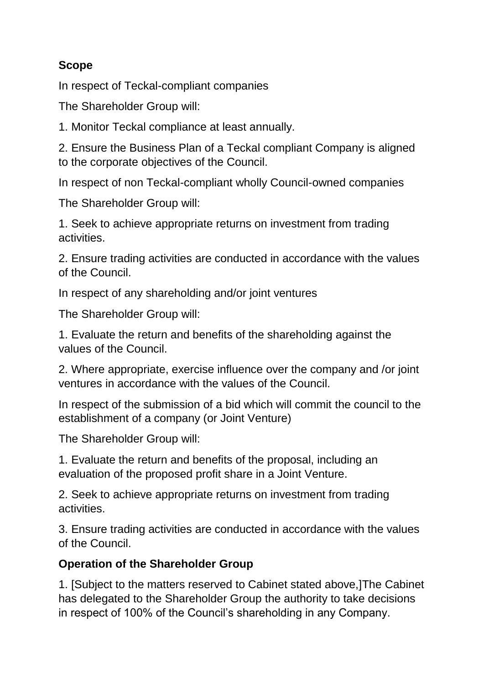# **Scope**

In respect of Teckal-compliant companies

The Shareholder Group will:

1. Monitor Teckal compliance at least annually.

2. Ensure the Business Plan of a Teckal compliant Company is aligned to the corporate objectives of the Council.

In respect of non Teckal-compliant wholly Council-owned companies

The Shareholder Group will:

1. Seek to achieve appropriate returns on investment from trading activities.

2. Ensure trading activities are conducted in accordance with the values of the Council.

In respect of any shareholding and/or joint ventures

The Shareholder Group will:

1. Evaluate the return and benefits of the shareholding against the values of the Council.

2. Where appropriate, exercise influence over the company and /or joint ventures in accordance with the values of the Council.

In respect of the submission of a bid which will commit the council to the establishment of a company (or Joint Venture)

The Shareholder Group will:

1. Evaluate the return and benefits of the proposal, including an evaluation of the proposed profit share in a Joint Venture.

2. Seek to achieve appropriate returns on investment from trading activities.

3. Ensure trading activities are conducted in accordance with the values of the Council.

# **Operation of the Shareholder Group**

1. [Subject to the matters reserved to Cabinet stated above,]The Cabinet has delegated to the Shareholder Group the authority to take decisions in respect of 100% of the Council's shareholding in any Company.